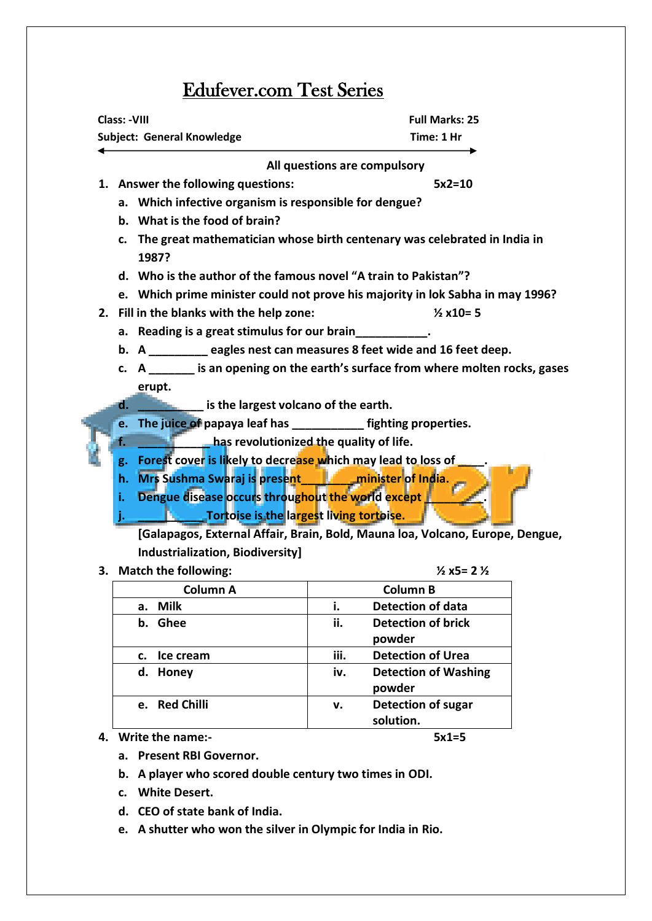## Edufever.com Test Series

| Class: -VIII                                                                   | <b>Full Marks: 25</b>                                                                                         |  |  |  |  |  |  |  |  |  |  |
|--------------------------------------------------------------------------------|---------------------------------------------------------------------------------------------------------------|--|--|--|--|--|--|--|--|--|--|
| Subject: General Knowledge                                                     | Time: 1 Hr                                                                                                    |  |  |  |  |  |  |  |  |  |  |
| All questions are compulsory                                                   |                                                                                                               |  |  |  |  |  |  |  |  |  |  |
| 1. Answer the following questions:                                             | $5x2=10$                                                                                                      |  |  |  |  |  |  |  |  |  |  |
| a. Which infective organism is responsible for dengue?                         |                                                                                                               |  |  |  |  |  |  |  |  |  |  |
| b. What is the food of brain?                                                  |                                                                                                               |  |  |  |  |  |  |  |  |  |  |
| c.<br>1987?                                                                    | The great mathematician whose birth centenary was celebrated in India in                                      |  |  |  |  |  |  |  |  |  |  |
|                                                                                | d. Who is the author of the famous novel "A train to Pakistan"?                                               |  |  |  |  |  |  |  |  |  |  |
| e. Which prime minister could not prove his majority in lok Sabha in may 1996? |                                                                                                               |  |  |  |  |  |  |  |  |  |  |
| 2. Fill in the blanks with the help zone:                                      | $\frac{1}{2}$ x10= 5                                                                                          |  |  |  |  |  |  |  |  |  |  |
| a. Reading is a great stimulus for our brain                                   |                                                                                                               |  |  |  |  |  |  |  |  |  |  |
|                                                                                | b. A __________ eagles nest can measures 8 feet wide and 16 feet deep.                                        |  |  |  |  |  |  |  |  |  |  |
|                                                                                | c. A _______ is an opening on the earth's surface from where molten rocks, gases                              |  |  |  |  |  |  |  |  |  |  |
| erupt.                                                                         |                                                                                                               |  |  |  |  |  |  |  |  |  |  |
| _ is the largest volcano of the earth.<br>d.                                   |                                                                                                               |  |  |  |  |  |  |  |  |  |  |
| e.                                                                             | The juice of papaya leaf has _____________ fighting properties.                                               |  |  |  |  |  |  |  |  |  |  |
| ı.                                                                             | has revolutionized the quality of life.                                                                       |  |  |  |  |  |  |  |  |  |  |
| Forest cover is likely to decrease which may lead to loss of<br>g.             |                                                                                                               |  |  |  |  |  |  |  |  |  |  |
|                                                                                | Mrs Sushma Swaraj is present<br>minister of India.<br>h.<br>Dengue disease occurs throughout the world except |  |  |  |  |  |  |  |  |  |  |
| i.                                                                             |                                                                                                               |  |  |  |  |  |  |  |  |  |  |
| Tortoise is the largest living tortoise.<br>ь                                  |                                                                                                               |  |  |  |  |  |  |  |  |  |  |
| [Galapagos, External Affair, Brain, Bold, Mauna loa, Volcano, Europe, Dengue,  |                                                                                                               |  |  |  |  |  |  |  |  |  |  |
| Industrialization, Biodiversity]                                               |                                                                                                               |  |  |  |  |  |  |  |  |  |  |
| 3. Match the following:                                                        | $\frac{1}{2}$ x5= 2 $\frac{1}{2}$                                                                             |  |  |  |  |  |  |  |  |  |  |
| <b>Column A</b>                                                                | <b>Column B</b>                                                                                               |  |  |  |  |  |  |  |  |  |  |
| Milk<br>а.                                                                     | <b>Detection of data</b><br>i.                                                                                |  |  |  |  |  |  |  |  |  |  |
| ::<br>⌒┗<br>والمقدما البحار ويتماسم والمستحدة                                  |                                                                                                               |  |  |  |  |  |  |  |  |  |  |

| Column A                | Column B                           |
|-------------------------|------------------------------------|
| <b>Milk</b><br>a.       | <b>Detection of data</b>           |
| <b>Ghee</b><br>b.       | ii.<br><b>Detection of brick</b>   |
|                         | powder                             |
| Ice cream<br>c.         | iii.<br><b>Detection of Urea</b>   |
| Honey<br>d.             | iv.<br><b>Detection of Washing</b> |
|                         | powder                             |
| <b>Red Chilli</b><br>e. | <b>Detection of sugar</b><br>v.    |
|                         | solution.                          |

**4. Write the name:- 5x1=5**

- **a. Present RBI Governor.**
- **b. A player who scored double century two times in ODI.**
- **c. White Desert.**
- **d. CEO of state bank of India.**
- **e. A shutter who won the silver in Olympic for India in Rio.**